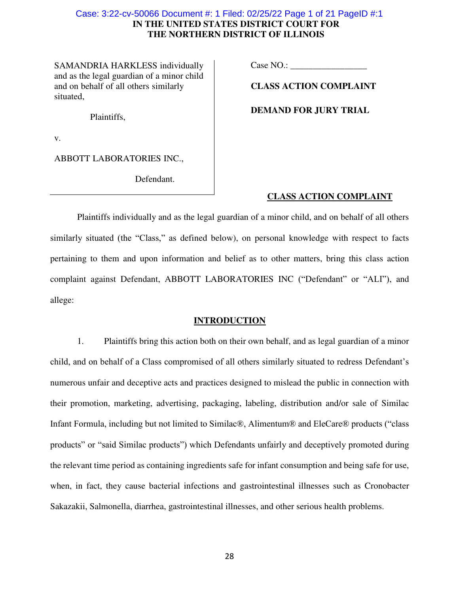# **IN THE UNITED STATES DISTRICT COURT FOR THE NORTHERN DISTRICT OF ILLINOIS**  Case: 3:22-cv-50066 Document #: 1 Filed: 02/25/22 Page 1 of 21 PageID #:1

SAMANDRIA HARKLESS individually and as the legal guardian of a minor child and on behalf of all others similarly situated,

Case NO.:

**CLASS ACTION COMPLAINT** 

**DEMAND FOR JURY TRIAL** 

Plaintiffs,

v.

ABBOTT LABORATORIES INC.,

Defendant.

# **CLASS ACTION COMPLAINT**

Plaintiffs individually and as the legal guardian of a minor child, and on behalf of all others similarly situated (the "Class," as defined below), on personal knowledge with respect to facts pertaining to them and upon information and belief as to other matters, bring this class action complaint against Defendant, ABBOTT LABORATORIES INC ("Defendant" or "ALI"), and allege:

## **INTRODUCTION**

1. Plaintiffs bring this action both on their own behalf, and as legal guardian of a minor child, and on behalf of a Class compromised of all others similarly situated to redress Defendant's numerous unfair and deceptive acts and practices designed to mislead the public in connection with their promotion, marketing, advertising, packaging, labeling, distribution and/or sale of Similac Infant Formula, including but not limited to Similac®, Alimentum® and EleCare® products ("class products" or "said Similac products") which Defendants unfairly and deceptively promoted during the relevant time period as containing ingredients safe for infant consumption and being safe for use, when, in fact, they cause bacterial infections and gastrointestinal illnesses such as Cronobacter Sakazakii, Salmonella, diarrhea, gastrointestinal illnesses, and other serious health problems.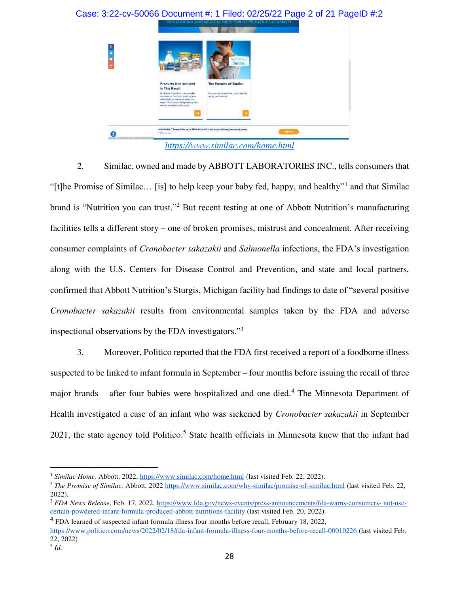

2. Similac, owned and made by ABBOTT LABORATORIES INC., tells consumers that "[t]he Promise of Similac... [is] to help keep your baby fed, happy, and healthy"<sup>1</sup> and that Similac brand is "Nutrition you can trust."<sup>2</sup> But recent testing at one of Abbott Nutrition's manufacturing facilities tells a different story – one of broken promises, mistrust and concealment. After receiving consumer complaints of *Cronobacter sakazakii* and *Salmonella* infections, the FDA's investigation along with the U.S. Centers for Disease Control and Prevention, and state and local partners, confirmed that Abbott Nutrition's Sturgis, Michigan facility had findings to date of "several positive *Cronobacter sakazakii* results from environmental samples taken by the FDA and adverse inspectional observations by the FDA investigators."<sup>3</sup>

3. Moreover, Politico reported that the FDA first received a report of a foodborne illness suspected to be linked to infant formula in September – four months before issuing the recall of three major brands – after four babies were hospitalized and one died.<sup>4</sup> The Minnesota Department of Health investigated a case of an infant who was sickened by *Cronobacter sakazakii* in September 2021, the state agency told Politico.<sup>5</sup> State health officials in Minnesota knew that the infant had

ׇ֧֬

<sup>1</sup> *Similac Home,* Abbott, 2022, https://www.similac.com/home.html (last visited Feb. 22, 2022).

<sup>2</sup> *The Promise of Similac,* Abbott, 2022 https://www.similac.com/why-similac/promise-of-similac.html (last visited Feb. 22, 2022).

<sup>&</sup>lt;sup>3</sup> *FDA News Release*, Feb. 17, 2022, https://www.fda.gov/news-events/press-announcements/fda-warns-consumers- not-usecertain-powdered-infant-formula-produced-abbott-nutritions-facility (last visited Feb. 20, 2022).

<sup>4</sup> FDA learned of suspected infant formula illness four months before recall, February 18, 2022,

https://www.politico.com/news/2022/02/18/fda-infant-formula-illness-four-months-before-recall-00010226 (last visited Feb. 22, 2022)

<sup>5</sup> *Id.*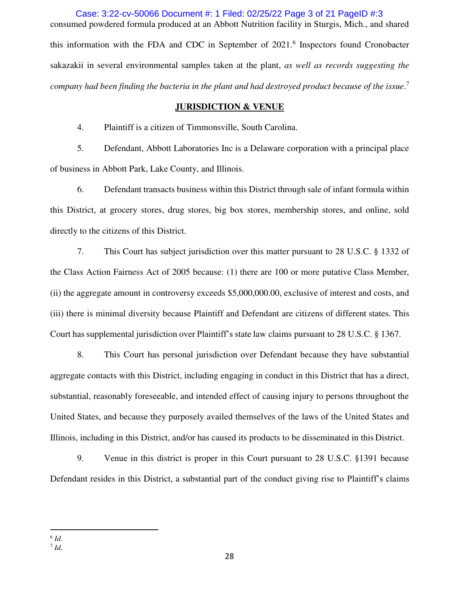consumed powdered formula produced at an Abbott Nutrition facility in Sturgis, Mich., and shared this information with the FDA and CDC in September of 2021.<sup>6</sup> Inspectors found Cronobacter sakazakii in several environmental samples taken at the plant, *as well as records suggesting the company had been finding the bacteria in the plant and had destroyed product because of the issue*. 7 Case: 3:22-cv-50066 Document #: 1 Filed: 02/25/22 Page 3 of 21 PageID #:3

## **JURISDICTION & VENUE**

4. Plaintiff is a citizen of Timmonsville, South Carolina.

5. Defendant, Abbott Laboratories Inc is a Delaware corporation with a principal place of business in Abbott Park, Lake County, and Illinois.

6. Defendant transacts business within this District through sale of infant formula within this District, at grocery stores, drug stores, big box stores, membership stores, and online, sold directly to the citizens of this District.

7. This Court has subject jurisdiction over this matter pursuant to 28 U.S.C. § 1332 of the Class Action Fairness Act of 2005 because: (1) there are 100 or more putative Class Member, (ii) the aggregate amount in controversy exceeds \$5,000,000.00, exclusive of interest and costs, and (iii) there is minimal diversity because Plaintiff and Defendant are citizens of different states. This Court has supplemental jurisdiction over Plaintiff's state law claims pursuant to 28 U.S.C. § 1367.

8. This Court has personal jurisdiction over Defendant because they have substantial aggregate contacts with this District, including engaging in conduct in this District that has a direct, substantial, reasonably foreseeable, and intended effect of causing injury to persons throughout the United States, and because they purposely availed themselves of the laws of the United States and Illinois, including in this District, and/or has caused its products to be disseminated in this District.

9. Venue in this district is proper in this Court pursuant to 28 U.S.C. §1391 because Defendant resides in this District, a substantial part of the conduct giving rise to Plaintiff's claims

 $\overline{a}$ 

<sup>6</sup> *Id*.

<sup>7</sup> *Id*.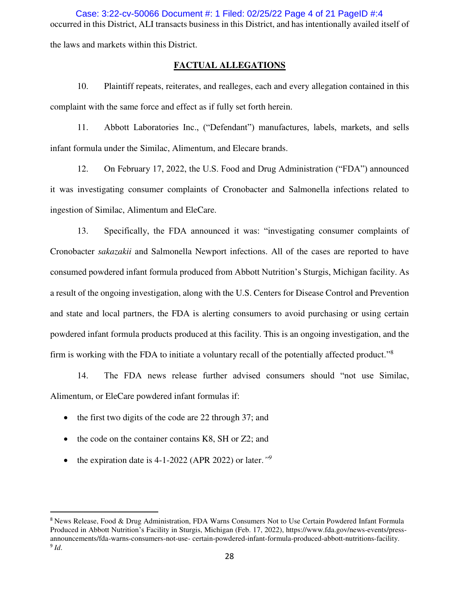occurred in this District, ALI transacts business in this District, and has intentionally availed itself of the laws and markets within this District. Case: 3:22-cv-50066 Document #: 1 Filed: 02/25/22 Page 4 of 21 PageID #:4

**FACTUAL ALLEGATIONS** 

10. Plaintiff repeats, reiterates, and realleges, each and every allegation contained in this complaint with the same force and effect as if fully set forth herein.

11. Abbott Laboratories Inc., ("Defendant") manufactures, labels, markets, and sells infant formula under the Similac, Alimentum, and Elecare brands.

12. On February 17, 2022, the U.S. Food and Drug Administration ("FDA") announced it was investigating consumer complaints of Cronobacter and Salmonella infections related to ingestion of Similac, Alimentum and EleCare.

13. Specifically, the FDA announced it was: "investigating consumer complaints of Cronobacter *sakazakii* and Salmonella Newport infections. All of the cases are reported to have consumed powdered infant formula produced from Abbott Nutrition's Sturgis, Michigan facility. As a result of the ongoing investigation, along with the U.S. Centers for Disease Control and Prevention and state and local partners, the FDA is alerting consumers to avoid purchasing or using certain powdered infant formula products produced at this facility. This is an ongoing investigation, and the firm is working with the FDA to initiate a voluntary recall of the potentially affected product."<sup>8</sup>

14. The FDA news release further advised consumers should "not use Similac, Alimentum, or EleCare powdered infant formulas if:

- the first two digits of the code are 22 through 37; and
- the code on the container contains K8, SH or Z2; and
- the expiration date is 4-1-2022 (APR 2022) or later.<sup>"9</sup>

ׇ֧֬

<sup>8</sup> News Release, Food & Drug Administration, FDA Warns Consumers Not to Use Certain Powdered Infant Formula Produced in Abbott Nutrition's Facility in Sturgis, Michigan (Feb. 17, 2022), https://www.fda.gov/news-events/pressannouncements/fda-warns-consumers-not-use- certain-powdered-infant-formula-produced-abbott-nutritions-facility. 9 *Id*.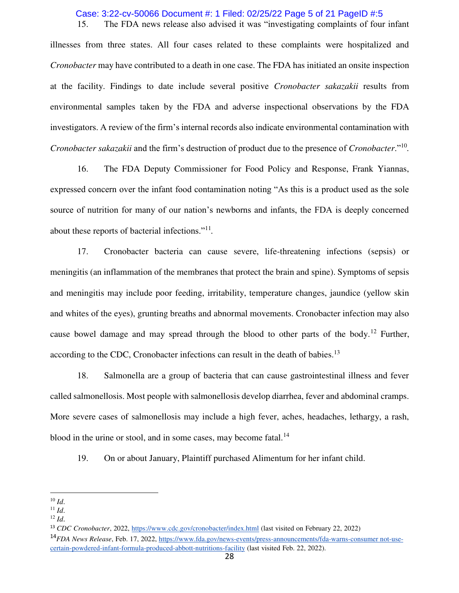# 15. The FDA news release also advised it was "investigating complaints of four infant Case: 3:22-cv-50066 Document #: 1 Filed: 02/25/22 Page 5 of 21 PageID #:5

illnesses from three states. All four cases related to these complaints were hospitalized and *Cronobacter* may have contributed to a death in one case. The FDA has initiated an onsite inspection at the facility. Findings to date include several positive *Cronobacter sakazakii* results from environmental samples taken by the FDA and adverse inspectional observations by the FDA investigators. A review of the firm's internal records also indicate environmental contamination with *Cronobacter sakazakii* and the firm's destruction of product due to the presence of *Cronobacter*."<sup>10</sup> *.*

16. The FDA Deputy Commissioner for Food Policy and Response, Frank Yiannas, expressed concern over the infant food contamination noting "As this is a product used as the sole source of nutrition for many of our nation's newborns and infants, the FDA is deeply concerned about these reports of bacterial infections."<sup>11</sup> *.*

17. Cronobacter bacteria can cause severe, life-threatening infections (sepsis) or meningitis (an inflammation of the membranes that protect the brain and spine). Symptoms of sepsis and meningitis may include poor feeding, irritability, temperature changes, jaundice (yellow skin and whites of the eyes), grunting breaths and abnormal movements. Cronobacter infection may also cause bowel damage and may spread through the blood to other parts of the body.<sup>12</sup> Further, according to the CDC, Cronobacter infections can result in the death of babies.<sup>13</sup>

18. Salmonella are a group of bacteria that can cause gastrointestinal illness and fever called salmonellosis. Most people with salmonellosis develop diarrhea, fever and abdominal cramps. More severe cases of salmonellosis may include a high fever, aches, headaches, lethargy, a rash, blood in the urine or stool, and in some cases, may become fatal. $<sup>14</sup>$ </sup>

19. On or about January, Plaintiff purchased Alimentum for her infant child.

ׇ֧֬

 $10$  *Id.* 

 $11$  *Id.* 

<sup>12</sup> *Id*.

<sup>13</sup> *CDC Cronobacter*, 2022, https://www.cdc.gov/cronobacter/index.html (last visited on February 22, 2022)

<sup>14</sup>*FDA News Release*, Feb. 17, 2022, https://www.fda.gov/news-events/press-announcements/fda-warns-consumer not-usecertain-powdered-infant-formula-produced-abbott-nutritions-facility (last visited Feb. 22, 2022).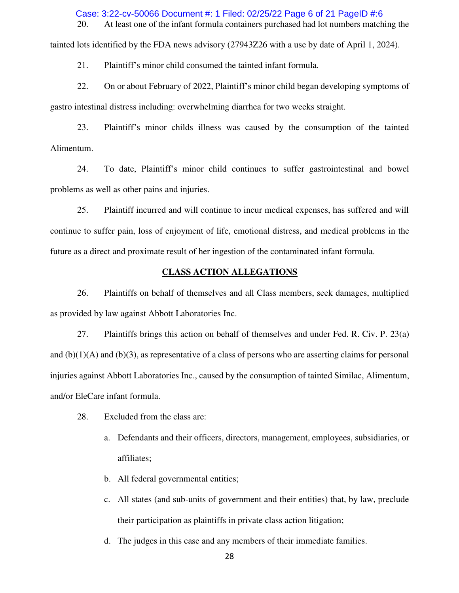20. At least one of the infant formula containers purchased had lot numbers matching the Case: 3:22-cv-50066 Document #: 1 Filed: 02/25/22 Page 6 of 21 PageID #:6

tainted lots identified by the FDA news advisory (27943Z26 with a use by date of April 1, 2024).

21. Plaintiff's minor child consumed the tainted infant formula.

22. On or about February of 2022, Plaintiff's minor child began developing symptoms of gastro intestinal distress including: overwhelming diarrhea for two weeks straight.

23. Plaintiff's minor childs illness was caused by the consumption of the tainted Alimentum.

24. To date, Plaintiff's minor child continues to suffer gastrointestinal and bowel problems as well as other pains and injuries.

25. Plaintiff incurred and will continue to incur medical expenses, has suffered and will continue to suffer pain, loss of enjoyment of life, emotional distress, and medical problems in the future as a direct and proximate result of her ingestion of the contaminated infant formula.

## **CLASS ACTION ALLEGATIONS**

26. Plaintiffs on behalf of themselves and all Class members, seek damages, multiplied as provided by law against Abbott Laboratories Inc.

27. Plaintiffs brings this action on behalf of themselves and under Fed. R. Civ. P. 23(a) and  $(b)(1)(A)$  and  $(b)(3)$ , as representative of a class of persons who are asserting claims for personal injuries against Abbott Laboratories Inc., caused by the consumption of tainted Similac, Alimentum, and/or EleCare infant formula.

- 28. Excluded from the class are:
	- a. Defendants and their officers, directors, management, employees, subsidiaries, or affiliates;
	- b. All federal governmental entities;
	- c. All states (and sub-units of government and their entities) that, by law, preclude their participation as plaintiffs in private class action litigation;
	- d. The judges in this case and any members of their immediate families.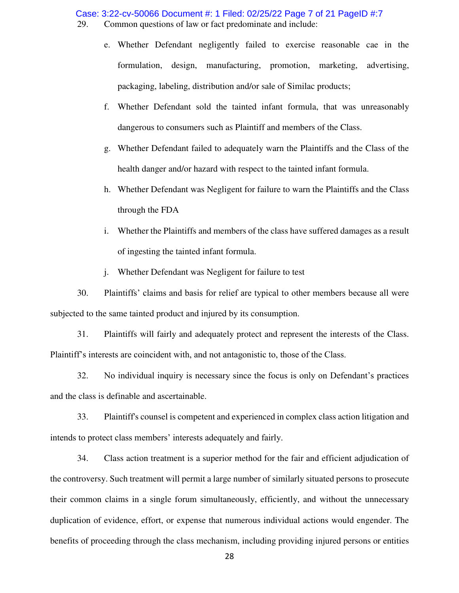Case: 3:22-cv-50066 Document #: 1 Filed: 02/25/22 Page 7 of 21 PageID #:7

29. Common questions of law or fact predominate and include:

- e. Whether Defendant negligently failed to exercise reasonable cae in the formulation, design, manufacturing, promotion, marketing, advertising, packaging, labeling, distribution and/or sale of Similac products;
- f. Whether Defendant sold the tainted infant formula, that was unreasonably dangerous to consumers such as Plaintiff and members of the Class.
- g. Whether Defendant failed to adequately warn the Plaintiffs and the Class of the health danger and/or hazard with respect to the tainted infant formula.
- h. Whether Defendant was Negligent for failure to warn the Plaintiffs and the Class through the FDA
- i. Whether the Plaintiffs and members of the class have suffered damages as a result of ingesting the tainted infant formula.
- j. Whether Defendant was Negligent for failure to test

30. Plaintiffs' claims and basis for relief are typical to other members because all were subjected to the same tainted product and injured by its consumption.

31. Plaintiffs will fairly and adequately protect and represent the interests of the Class. Plaintiff's interests are coincident with, and not antagonistic to, those of the Class.

32. No individual inquiry is necessary since the focus is only on Defendant's practices and the class is definable and ascertainable.

33. Plaintiff's counsel is competent and experienced in complex class action litigation and intends to protect class members' interests adequately and fairly.

34. Class action treatment is a superior method for the fair and efficient adjudication of the controversy. Such treatment will permit a large number of similarly situated persons to prosecute their common claims in a single forum simultaneously, efficiently, and without the unnecessary duplication of evidence, effort, or expense that numerous individual actions would engender. The benefits of proceeding through the class mechanism, including providing injured persons or entities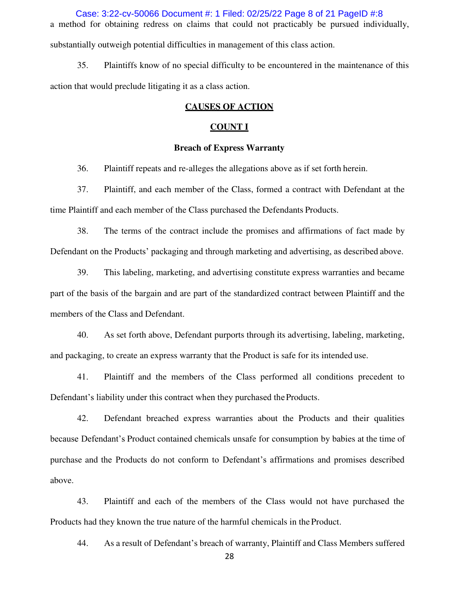a method for obtaining redress on claims that could not practicably be pursued individually, substantially outweigh potential difficulties in management of this class action. Case: 3:22-cv-50066 Document #: 1 Filed: 02/25/22 Page 8 of 21 PageID #:8

35. Plaintiffs know of no special difficulty to be encountered in the maintenance of this action that would preclude litigating it as a class action.

# **CAUSES OF ACTION**

# **COUNT I**

# **Breach of Express Warranty**

36. Plaintiff repeats and re-alleges the allegations above as if set forth herein.

37. Plaintiff, and each member of the Class, formed a contract with Defendant at the time Plaintiff and each member of the Class purchased the Defendants Products.

38. The terms of the contract include the promises and affirmations of fact made by Defendant on the Products' packaging and through marketing and advertising, as described above.

39. This labeling, marketing, and advertising constitute express warranties and became part of the basis of the bargain and are part of the standardized contract between Plaintiff and the members of the Class and Defendant.

40. As set forth above, Defendant purports through its advertising, labeling, marketing, and packaging, to create an express warranty that the Product is safe for its intended use.

41. Plaintiff and the members of the Class performed all conditions precedent to Defendant's liability under this contract when they purchased the Products.

42. Defendant breached express warranties about the Products and their qualities because Defendant's Product contained chemicals unsafe for consumption by babies at the time of purchase and the Products do not conform to Defendant's affirmations and promises described above.

43. Plaintiff and each of the members of the Class would not have purchased the Products had they known the true nature of the harmful chemicals in the Product.

44. As a result of Defendant's breach of warranty, Plaintiff and Class Members suffered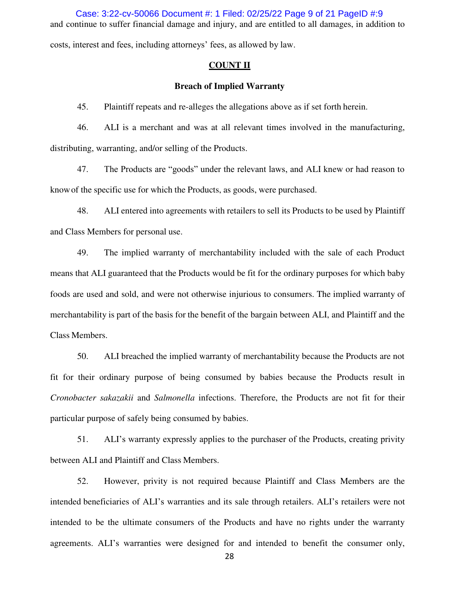and continue to suffer financial damage and injury, and are entitled to all damages, in addition to costs, interest and fees, including attorneys' fees, as allowed by law. Case: 3:22-cv-50066 Document #: 1 Filed: 02/25/22 Page 9 of 21 PageID #:9

#### **COUNT II**

# **Breach of Implied Warranty**

45. Plaintiff repeats and re-alleges the allegations above as if set forth herein.

46. ALI is a merchant and was at all relevant times involved in the manufacturing, distributing, warranting, and/or selling of the Products.

47. The Products are "goods" under the relevant laws, and ALI knew or had reason to know of the specific use for which the Products, as goods, were purchased.

48. ALI entered into agreements with retailers to sell its Products to be used by Plaintiff and Class Members for personal use.

49. The implied warranty of merchantability included with the sale of each Product means that ALI guaranteed that the Products would be fit for the ordinary purposes for which baby foods are used and sold, and were not otherwise injurious to consumers. The implied warranty of merchantability is part of the basis for the benefit of the bargain between ALI, and Plaintiff and the Class Members.

50. ALI breached the implied warranty of merchantability because the Products are not fit for their ordinary purpose of being consumed by babies because the Products result in *Cronobacter sakazakii* and *Salmonella* infections. Therefore, the Products are not fit for their particular purpose of safely being consumed by babies.

51. ALI's warranty expressly applies to the purchaser of the Products, creating privity between ALI and Plaintiff and Class Members.

52. However, privity is not required because Plaintiff and Class Members are the intended beneficiaries of ALI's warranties and its sale through retailers. ALI's retailers were not intended to be the ultimate consumers of the Products and have no rights under the warranty agreements. ALI's warranties were designed for and intended to benefit the consumer only,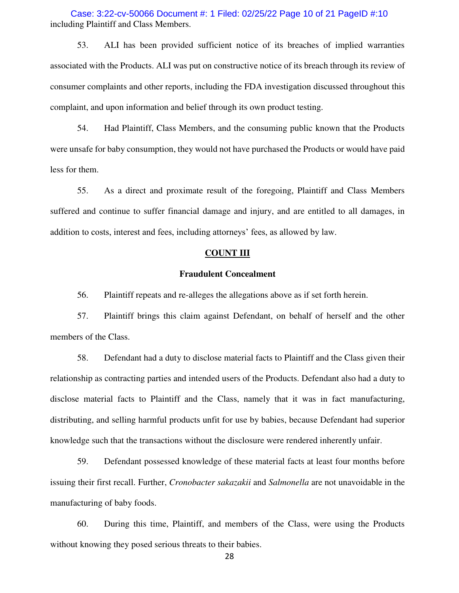including Plaintiff and Class Members. Case: 3:22-cv-50066 Document #: 1 Filed: 02/25/22 Page 10 of 21 PageID #:10

53. ALI has been provided sufficient notice of its breaches of implied warranties associated with the Products. ALI was put on constructive notice of its breach through its review of consumer complaints and other reports, including the FDA investigation discussed throughout this complaint, and upon information and belief through its own product testing.

54. Had Plaintiff, Class Members, and the consuming public known that the Products were unsafe for baby consumption, they would not have purchased the Products or would have paid less for them.

55. As a direct and proximate result of the foregoing, Plaintiff and Class Members suffered and continue to suffer financial damage and injury, and are entitled to all damages, in addition to costs, interest and fees, including attorneys' fees, as allowed by law.

## **COUNT III**

# **Fraudulent Concealment**

56. Plaintiff repeats and re-alleges the allegations above as if set forth herein.

57. Plaintiff brings this claim against Defendant, on behalf of herself and the other members of the Class.

58. Defendant had a duty to disclose material facts to Plaintiff and the Class given their relationship as contracting parties and intended users of the Products. Defendant also had a duty to disclose material facts to Plaintiff and the Class, namely that it was in fact manufacturing, distributing, and selling harmful products unfit for use by babies, because Defendant had superior knowledge such that the transactions without the disclosure were rendered inherently unfair.

59. Defendant possessed knowledge of these material facts at least four months before issuing their first recall. Further, *Cronobacter sakazakii* and *Salmonella* are not unavoidable in the manufacturing of baby foods.

60. During this time, Plaintiff, and members of the Class, were using the Products without knowing they posed serious threats to their babies.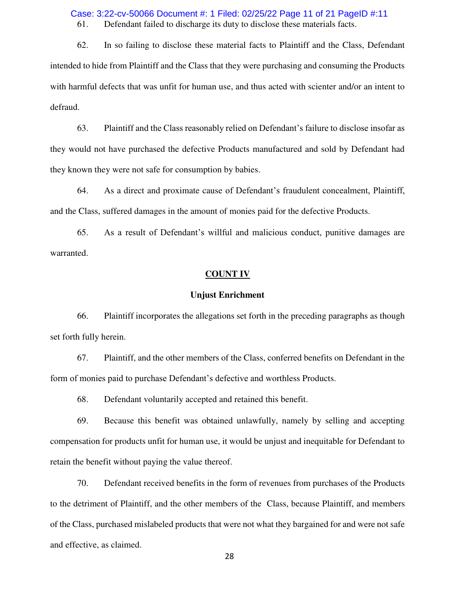61. Defendant failed to discharge its duty to disclose these materials facts. Case: 3:22-cv-50066 Document #: 1 Filed: 02/25/22 Page 11 of 21 PageID #:11

62. In so failing to disclose these material facts to Plaintiff and the Class, Defendant intended to hide from Plaintiff and the Class that they were purchasing and consuming the Products with harmful defects that was unfit for human use, and thus acted with scienter and/or an intent to defraud.

63. Plaintiff and the Class reasonably relied on Defendant's failure to disclose insofar as they would not have purchased the defective Products manufactured and sold by Defendant had they known they were not safe for consumption by babies.

64. As a direct and proximate cause of Defendant's fraudulent concealment, Plaintiff, and the Class, suffered damages in the amount of monies paid for the defective Products.

65. As a result of Defendant's willful and malicious conduct, punitive damages are warranted.

## **COUNT IV**

#### **Unjust Enrichment**

66. Plaintiff incorporates the allegations set forth in the preceding paragraphs as though set forth fully herein.

67. Plaintiff, and the other members of the Class, conferred benefits on Defendant in the form of monies paid to purchase Defendant's defective and worthless Products.

68. Defendant voluntarily accepted and retained this benefit.

69. Because this benefit was obtained unlawfully, namely by selling and accepting compensation for products unfit for human use, it would be unjust and inequitable for Defendant to retain the benefit without paying the value thereof.

70. Defendant received benefits in the form of revenues from purchases of the Products to the detriment of Plaintiff, and the other members of the Class, because Plaintiff, and members of the Class, purchased mislabeled products that were not what they bargained for and were not safe and effective, as claimed.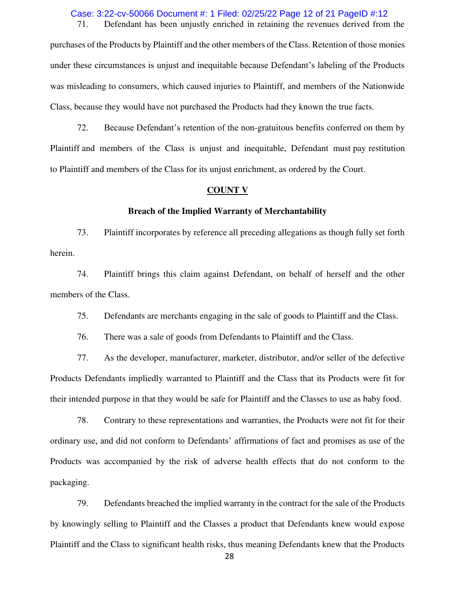Case: 3:22-cv-50066 Document #: 1 Filed: 02/25/22 Page 12 of 21 PageID #:12

71. Defendant has been unjustly enriched in retaining the revenues derived from the

purchases of the Products by Plaintiff and the other members of the Class. Retention of those monies under these circumstances is unjust and inequitable because Defendant's labeling of the Products was misleading to consumers, which caused injuries to Plaintiff, and members of the Nationwide Class, because they would have not purchased the Products had they known the true facts.

72. Because Defendant's retention of the non-gratuitous benefits conferred on them by Plaintiff and members of the Class is unjust and inequitable, Defendant must pay restitution to Plaintiff and members of the Class for its unjust enrichment, as ordered by the Court.

#### **COUNT V**

#### **Breach of the Implied Warranty of Merchantability**

73. Plaintiff incorporates by reference all preceding allegations as though fully set forth herein.

74. Plaintiff brings this claim against Defendant, on behalf of herself and the other members of the Class.

75. Defendants are merchants engaging in the sale of goods to Plaintiff and the Class.

76. There was a sale of goods from Defendants to Plaintiff and the Class.

77. As the developer, manufacturer, marketer, distributor, and/or seller of the defective Products Defendants impliedly warranted to Plaintiff and the Class that its Products were fit for their intended purpose in that they would be safe for Plaintiff and the Classes to use as baby food.

78. Contrary to these representations and warranties, the Products were not fit for their ordinary use, and did not conform to Defendants' affirmations of fact and promises as use of the Products was accompanied by the risk of adverse health effects that do not conform to the packaging.

79. Defendants breached the implied warranty in the contract for the sale of the Products by knowingly selling to Plaintiff and the Classes a product that Defendants knew would expose Plaintiff and the Class to significant health risks, thus meaning Defendants knew that the Products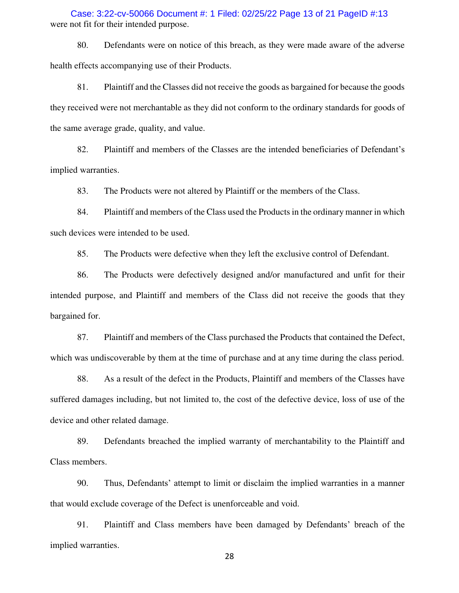were not fit for their intended purpose. Case: 3:22-cv-50066 Document #: 1 Filed: 02/25/22 Page 13 of 21 PageID #:13

80. Defendants were on notice of this breach, as they were made aware of the adverse health effects accompanying use of their Products.

81. Plaintiff and the Classes did not receive the goods as bargained for because the goods they received were not merchantable as they did not conform to the ordinary standards for goods of the same average grade, quality, and value.

82. Plaintiff and members of the Classes are the intended beneficiaries of Defendant's implied warranties.

83. The Products were not altered by Plaintiff or the members of the Class.

84. Plaintiff and members of the Class used the Products in the ordinary manner in which such devices were intended to be used.

85. The Products were defective when they left the exclusive control of Defendant.

86. The Products were defectively designed and/or manufactured and unfit for their intended purpose, and Plaintiff and members of the Class did not receive the goods that they bargained for.

87. Plaintiff and members of the Class purchased the Products that contained the Defect, which was undiscoverable by them at the time of purchase and at any time during the class period.

88. As a result of the defect in the Products, Plaintiff and members of the Classes have suffered damages including, but not limited to, the cost of the defective device, loss of use of the device and other related damage.

89. Defendants breached the implied warranty of merchantability to the Plaintiff and Class members.

90. Thus, Defendants' attempt to limit or disclaim the implied warranties in a manner that would exclude coverage of the Defect is unenforceable and void.

91. Plaintiff and Class members have been damaged by Defendants' breach of the implied warranties.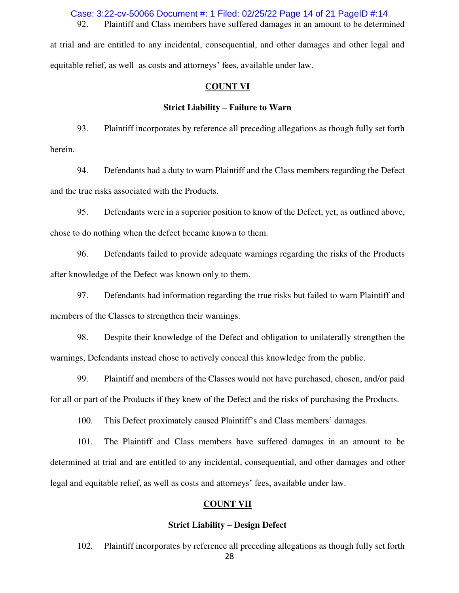92. Plaintiff and Class members have suffered damages in an amount to be determined Case: 3:22-cv-50066 Document #: 1 Filed: 02/25/22 Page 14 of 21 PageID #:14

at trial and are entitled to any incidental, consequential, and other damages and other legal and equitable relief, as well as costs and attorneys' fees, available under law.

## **COUNT VI**

## **Strict Liability – Failure to Warn**

93. Plaintiff incorporates by reference all preceding allegations as though fully set forth herein.

94. Defendants had a duty to warn Plaintiff and the Class members regarding the Defect and the true risks associated with the Products.

95. Defendants were in a superior position to know of the Defect, yet, as outlined above, chose to do nothing when the defect became known to them.

96. Defendants failed to provide adequate warnings regarding the risks of the Products after knowledge of the Defect was known only to them.

97. Defendants had information regarding the true risks but failed to warn Plaintiff and members of the Classes to strengthen their warnings.

98. Despite their knowledge of the Defect and obligation to unilaterally strengthen the warnings, Defendants instead chose to actively conceal this knowledge from the public.

99. Plaintiff and members of the Classes would not have purchased, chosen, and/or paid for all or part of the Products if they knew of the Defect and the risks of purchasing the Products.

100. This Defect proximately caused Plaintiff's and Class members' damages.

101. The Plaintiff and Class members have suffered damages in an amount to be determined at trial and are entitled to any incidental, consequential, and other damages and other legal and equitable relief, as well as costs and attorneys' fees, available under law.

# **COUNT VII**

#### **Strict Liability – Design Defect**

102. Plaintiff incorporates by reference all preceding allegations as though fully set forth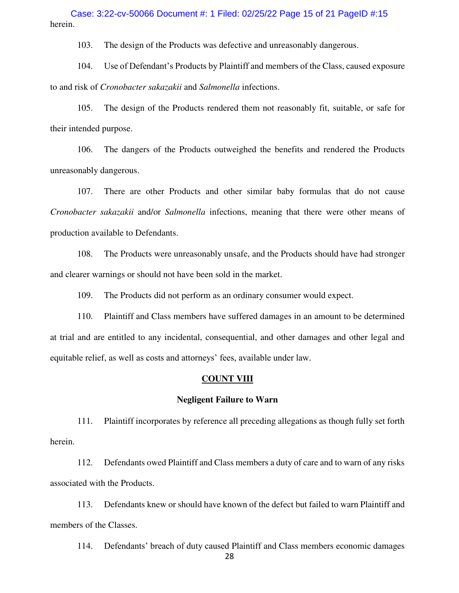herein. Case: 3:22-cv-50066 Document #: 1 Filed: 02/25/22 Page 15 of 21 PageID #:15

103. The design of the Products was defective and unreasonably dangerous.

104. Use of Defendant's Products by Plaintiff and members of the Class, caused exposure to and risk of *Cronobacter sakazakii* and *Salmonella* infections.

105. The design of the Products rendered them not reasonably fit, suitable, or safe for their intended purpose.

106. The dangers of the Products outweighed the benefits and rendered the Products unreasonably dangerous.

107. There are other Products and other similar baby formulas that do not cause *Cronobacter sakazakii* and/or *Salmonella* infections, meaning that there were other means of production available to Defendants.

108. The Products were unreasonably unsafe, and the Products should have had stronger and clearer warnings or should not have been sold in the market.

109. The Products did not perform as an ordinary consumer would expect.

110. Plaintiff and Class members have suffered damages in an amount to be determined at trial and are entitled to any incidental, consequential, and other damages and other legal and equitable relief, as well as costs and attorneys' fees, available under law.

# **COUNT VIII**

#### **Negligent Failure to Warn**

111. Plaintiff incorporates by reference all preceding allegations as though fully set forth herein.

112. Defendants owed Plaintiff and Class members a duty of care and to warn of any risks associated with the Products.

113. Defendants knew or should have known of the defect but failed to warn Plaintiff and members of the Classes.

114. Defendants' breach of duty caused Plaintiff and Class members economic damages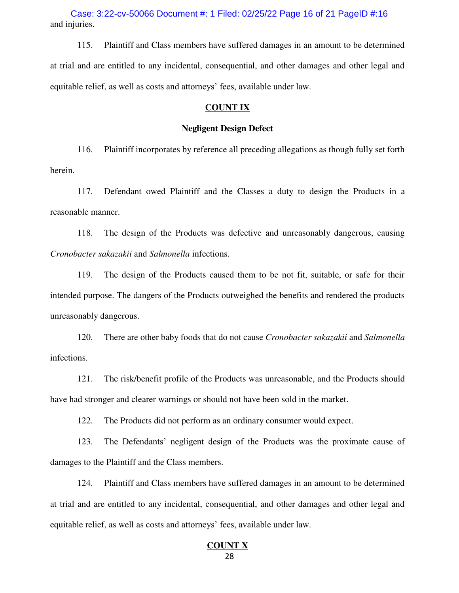and injuries. Case: 3:22-cv-50066 Document #: 1 Filed: 02/25/22 Page 16 of 21 PageID #:16

115. Plaintiff and Class members have suffered damages in an amount to be determined at trial and are entitled to any incidental, consequential, and other damages and other legal and equitable relief, as well as costs and attorneys' fees, available under law.

#### **COUNT IX**

#### **Negligent Design Defect**

116. Plaintiff incorporates by reference all preceding allegations as though fully set forth herein.

117. Defendant owed Plaintiff and the Classes a duty to design the Products in a reasonable manner.

118. The design of the Products was defective and unreasonably dangerous, causing *Cronobacter sakazakii* and *Salmonella* infections.

119. The design of the Products caused them to be not fit, suitable, or safe for their intended purpose. The dangers of the Products outweighed the benefits and rendered the products unreasonably dangerous.

120. There are other baby foods that do not cause *Cronobacter sakazakii* and *Salmonella* infections.

121. The risk/benefit profile of the Products was unreasonable, and the Products should have had stronger and clearer warnings or should not have been sold in the market.

122. The Products did not perform as an ordinary consumer would expect.

123. The Defendants' negligent design of the Products was the proximate cause of damages to the Plaintiff and the Class members.

124. Plaintiff and Class members have suffered damages in an amount to be determined at trial and are entitled to any incidental, consequential, and other damages and other legal and equitable relief, as well as costs and attorneys' fees, available under law.

#### 28 **COUNT X**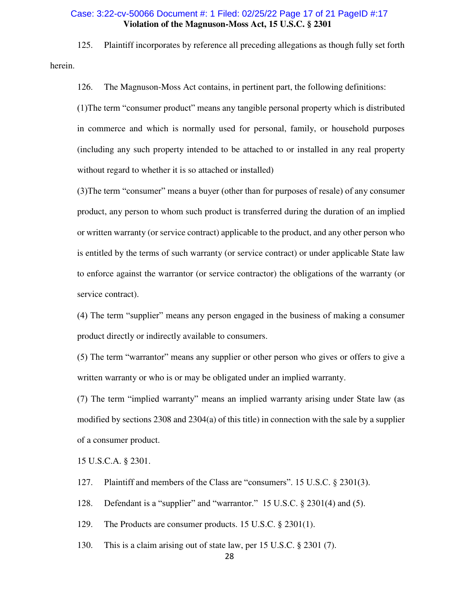# **Violation of the Magnuson-Moss Act, 15 U.S.C. § 2301**  Case: 3:22-cv-50066 Document #: 1 Filed: 02/25/22 Page 17 of 21 PageID #:17

125. Plaintiff incorporates by reference all preceding allegations as though fully set forth herein.

126. The Magnuson-Moss Act contains, in pertinent part, the following definitions:

(1)The term "consumer product" means any tangible personal property which is distributed in commerce and which is normally used for personal, family, or household purposes (including any such property intended to be attached to or installed in any real property without regard to whether it is so attached or installed)

(3)The term "consumer" means a buyer (other than for purposes of resale) of any consumer product, any person to whom such product is transferred during the duration of an implied or written warranty (or service contract) applicable to the product, and any other person who is entitled by the terms of such warranty (or service contract) or under applicable State law to enforce against the warrantor (or service contractor) the obligations of the warranty (or service contract).

(4) The term "supplier" means any person engaged in the business of making a consumer product directly or indirectly available to consumers.

(5) The term "warrantor" means any supplier or other person who gives or offers to give a written warranty or who is or may be obligated under an implied warranty.

(7) The term "implied warranty" means an implied warranty arising under State law (as modified by sections 2308 and 2304(a) of this title) in connection with the sale by a supplier of a consumer product.

15 U.S.C.A. § 2301.

- 127. Plaintiff and members of the Class are "consumers". 15 U.S.C. § 2301(3).
- 128. Defendant is a "supplier" and "warrantor." 15 U.S.C. § 2301(4) and (5).

129. The Products are consumer products. 15 U.S.C. § 2301(1).

130. This is a claim arising out of state law, per 15 U.S.C. § 2301 (7).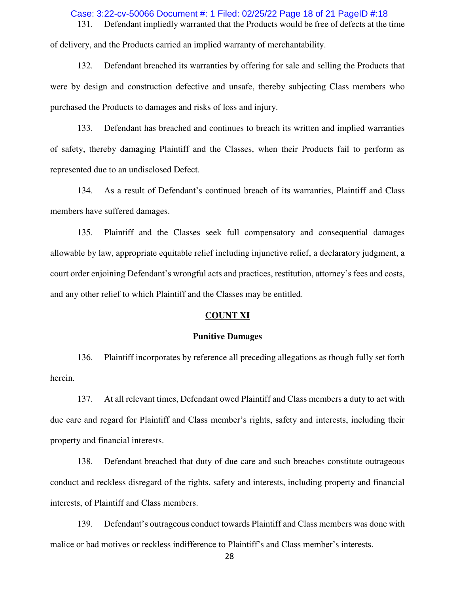# Case: 3:22-cv-50066 Document #: 1 Filed: 02/25/22 Page 18 of 21 PageID #:18

131. Defendant impliedly warranted that the Products would be free of defects at the time of delivery, and the Products carried an implied warranty of merchantability.

132. Defendant breached its warranties by offering for sale and selling the Products that were by design and construction defective and unsafe, thereby subjecting Class members who purchased the Products to damages and risks of loss and injury.

133. Defendant has breached and continues to breach its written and implied warranties of safety, thereby damaging Plaintiff and the Classes, when their Products fail to perform as represented due to an undisclosed Defect.

134. As a result of Defendant's continued breach of its warranties, Plaintiff and Class members have suffered damages.

135. Plaintiff and the Classes seek full compensatory and consequential damages allowable by law, appropriate equitable relief including injunctive relief, a declaratory judgment, a court order enjoining Defendant's wrongful acts and practices, restitution, attorney's fees and costs, and any other relief to which Plaintiff and the Classes may be entitled.

## **COUNT XI**

#### **Punitive Damages**

136. Plaintiff incorporates by reference all preceding allegations as though fully set forth herein.

137. At all relevant times, Defendant owed Plaintiff and Class members a duty to act with due care and regard for Plaintiff and Class member's rights, safety and interests, including their property and financial interests.

138. Defendant breached that duty of due care and such breaches constitute outrageous conduct and reckless disregard of the rights, safety and interests, including property and financial interests, of Plaintiff and Class members.

139. Defendant's outrageous conduct towards Plaintiff and Class members was done with malice or bad motives or reckless indifference to Plaintiff's and Class member's interests.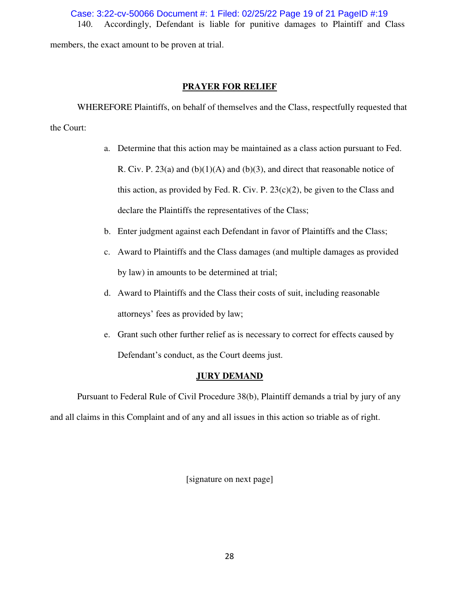140. Accordingly, Defendant is liable for punitive damages to Plaintiff and Class Case: 3:22-cv-50066 Document #: 1 Filed: 02/25/22 Page 19 of 21 PageID #:19

members, the exact amount to be proven at trial.

# **PRAYER FOR RELIEF**

WHEREFORE Plaintiffs, on behalf of themselves and the Class, respectfully requested that

the Court:

- a. Determine that this action may be maintained as a class action pursuant to Fed. R. Civ. P. 23(a) and  $(b)(1)(A)$  and  $(b)(3)$ , and direct that reasonable notice of this action, as provided by Fed. R. Civ. P.  $23(c)(2)$ , be given to the Class and declare the Plaintiffs the representatives of the Class;
- b. Enter judgment against each Defendant in favor of Plaintiffs and the Class;
- c. Award to Plaintiffs and the Class damages (and multiple damages as provided by law) in amounts to be determined at trial;
- d. Award to Plaintiffs and the Class their costs of suit, including reasonable attorneys' fees as provided by law;
- e. Grant such other further relief as is necessary to correct for effects caused by Defendant's conduct, as the Court deems just.

# **JURY DEMAND**

Pursuant to Federal Rule of Civil Procedure 38(b), Plaintiff demands a trial by jury of any and all claims in this Complaint and of any and all issues in this action so triable as of right.

[signature on next page]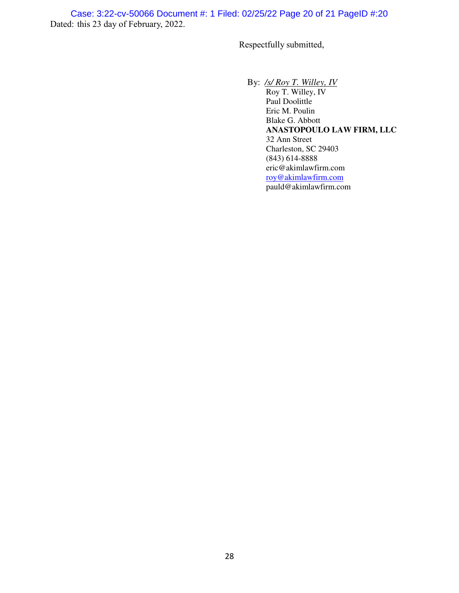Dated: this 23 day of February, 2022. Case: 3:22-cv-50066 Document #: 1 Filed: 02/25/22 Page 20 of 21 PageID #:20

Respectfully submitted,

By: */s/ Roy T. Willey, IV* 

Roy T. Willey, IV Paul Doolittle Eric M. Poulin Blake G. Abbott **ANASTOPOULO LAW FIRM, LLC**  32 Ann Street Charleston, SC 29403 (843) 614-8888 eric@akimlawfirm.com [roy@akimlawfirm.com](mailto:roy@akimlawfirm.com) pauld@akimlawfirm.com